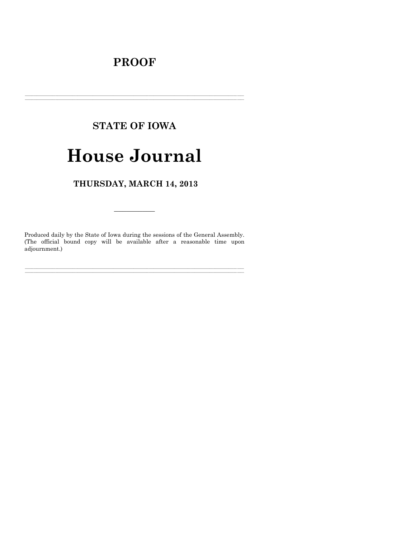# **PROOF**

## **STATE OF IOWA**

# **House Journal**

## THURSDAY, MARCH 14, 2013

Produced daily by the State of Iowa during the sessions of the General Assembly. (The official bound copy will be available after a reasonable time upon adjournment.)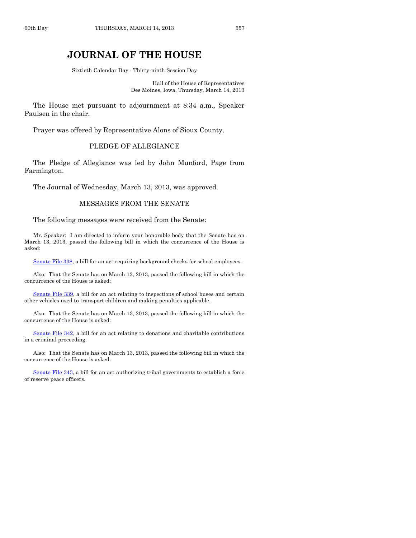### **JOURNAL OF THE HOUSE**

Sixtieth Calendar Day - Thirty-ninth Session Day

Hall of the House of Representatives Des Moines, Iowa, Thursday, March 14, 2013

The House met pursuant to adjournment at 8:34 a.m., Speaker Paulsen in the chair.

Prayer was offered by Representative Alons of Sioux County.

#### PLEDGE OF ALLEGIANCE

The Pledge of Allegiance was led by John Munford, Page from Farmington.

The Journal of Wednesday, March 13, 2013, was approved.

#### MESSAGES FROM THE SENATE

The following messages were received from the Senate:

Mr. Speaker: I am directed to inform your honorable body that the Senate has on March 13, 2013, passed the following bill in which the concurrence of the House is asked:

[Senate File 338,](http://coolice.legis.state.ia.us/Cool-ICE/default.asp?Category=billinfo&Service=Billbook&frame=1&GA=85&hbill=SF338) a bill for an act requiring background checks for school employees.

Also: That the Senate has on March 13, 2013, passed the following bill in which the concurrence of the House is asked:

[Senate File 339,](http://coolice.legis.state.ia.us/Cool-ICE/default.asp?Category=billinfo&Service=Billbook&frame=1&GA=85&hbill=SF339) a bill for an act relating to inspections of school buses and certain other vehicles used to transport children and making penalties applicable.

Also: That the Senate has on March 13, 2013, passed the following bill in which the concurrence of the House is asked:

[Senate File 342,](http://coolice.legis.state.ia.us/Cool-ICE/default.asp?Category=billinfo&Service=Billbook&frame=1&GA=85&hbill=SF342) a bill for an act relating to donations and charitable contributions in a criminal proceeding.

Also: That the Senate has on March 13, 2013, passed the following bill in which the concurrence of the House is asked:

[Senate File 343,](http://coolice.legis.state.ia.us/Cool-ICE/default.asp?Category=billinfo&Service=Billbook&frame=1&GA=85&hbill=SF343) a bill for an act authorizing tribal governments to establish a force of reserve peace officers.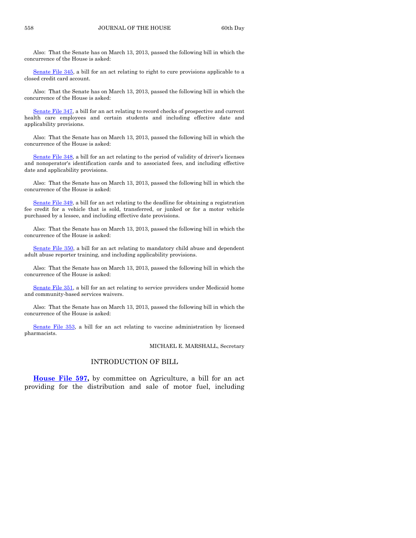Also: That the Senate has on March 13, 2013, passed the following bill in which the concurrence of the House is asked:

[Senate File 345,](http://coolice.legis.state.ia.us/Cool-ICE/default.asp?Category=billinfo&Service=Billbook&frame=1&GA=85&hbill=SF345) a bill for an act relating to right to cure provisions applicable to a closed credit card account.

Also: That the Senate has on March 13, 2013, passed the following bill in which the concurrence of the House is asked:

[Senate File 347,](http://coolice.legis.state.ia.us/Cool-ICE/default.asp?Category=billinfo&Service=Billbook&frame=1&GA=85&hbill=SF347) a bill for an act relating to record checks of prospective and current health care employees and certain students and including effective date and applicability provisions.

Also: That the Senate has on March 13, 2013, passed the following bill in which the concurrence of the House is asked:

[Senate File 348,](http://coolice.legis.state.ia.us/Cool-ICE/default.asp?Category=billinfo&Service=Billbook&frame=1&GA=85&hbill=SF348) a bill for an act relating to the period of validity of driver's licenses and nonoperator's identification cards and to associated fees, and including effective date and applicability provisions.

Also: That the Senate has on March 13, 2013, passed the following bill in which the concurrence of the House is asked:

[Senate File 349,](http://coolice.legis.state.ia.us/Cool-ICE/default.asp?Category=billinfo&Service=Billbook&frame=1&GA=85&hbill=SF349) a bill for an act relating to the deadline for obtaining a registration fee credit for a vehicle that is sold, transferred, or junked or for a motor vehicle purchased by a lessee, and including effective date provisions.

Also: That the Senate has on March 13, 2013, passed the following bill in which the concurrence of the House is asked:

[Senate File 350,](http://coolice.legis.state.ia.us/Cool-ICE/default.asp?Category=billinfo&Service=Billbook&frame=1&GA=85&hbill=SF350) a bill for an act relating to mandatory child abuse and dependent adult abuse reporter training, and including applicability provisions.

Also: That the Senate has on March 13, 2013, passed the following bill in which the concurrence of the House is asked:

[Senate File 351,](http://coolice.legis.state.ia.us/Cool-ICE/default.asp?Category=billinfo&Service=Billbook&frame=1&GA=85&hbill=SF351) a bill for an act relating to service providers under Medicaid home and community-based services waivers.

Also: That the Senate has on March 13, 2013, passed the following bill in which the concurrence of the House is asked:

[Senate File 353,](http://coolice.legis.state.ia.us/Cool-ICE/default.asp?Category=billinfo&Service=Billbook&frame=1&GA=85&hbill=SF353) a bill for an act relating to vaccine administration by licensed pharmacists.

MICHAEL E. MARSHALL, Secretary

#### INTRODUCTION OF BILL

**[House File 597,](http://coolice.legis.state.ia.us/Cool-ICE/default.asp?Category=billinfo&Service=Billbook&frame=1&GA=85&hbill=HF597)** by committee on Agriculture, a bill for an act providing for the distribution and sale of motor fuel, including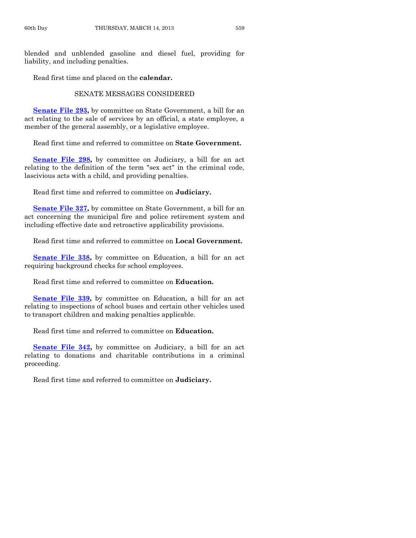blended and unblended gasoline and diesel fuel, providing for liability, and including penalties.

Read first time and placed on the **calendar.**

#### SENATE MESSAGES CONSIDERED

**[Senate File 293,](http://coolice.legis.state.ia.us/Cool-ICE/default.asp?Category=billinfo&Service=Billbook&frame=1&GA=85&hbill=SF293)** by committee on State Government, a bill for an act relating to the sale of services by an official, a state employee, a member of the general assembly, or a legislative employee.

Read first time and referred to committee on **State Government.**

**[Senate File 298,](http://coolice.legis.state.ia.us/Cool-ICE/default.asp?Category=billinfo&Service=Billbook&frame=1&GA=85&hbill=SF298)** by committee on Judiciary, a bill for an act relating to the definition of the term "sex act" in the criminal code, lascivious acts with a child, and providing penalties.

Read first time and referred to committee on **Judiciary.**

**[Senate File 327,](http://coolice.legis.state.ia.us/Cool-ICE/default.asp?Category=billinfo&Service=Billbook&frame=1&GA=85&hbill=SF327)** by committee on State Government, a bill for an act concerning the municipal fire and police retirement system and including effective date and retroactive applicability provisions.

Read first time and referred to committee on **Local Government.**

**[Senate File 338,](http://coolice.legis.state.ia.us/Cool-ICE/default.asp?Category=billinfo&Service=Billbook&frame=1&GA=85&hbill=SF338)** by committee on Education, a bill for an act requiring background checks for school employees.

Read first time and referred to committee on **Education.**

**[Senate File 339,](http://coolice.legis.state.ia.us/Cool-ICE/default.asp?Category=billinfo&Service=Billbook&frame=1&GA=85&hbill=SF339)** by committee on Education, a bill for an act relating to inspections of school buses and certain other vehicles used to transport children and making penalties applicable.

Read first time and referred to committee on **Education.**

**[Senate File 342,](http://coolice.legis.state.ia.us/Cool-ICE/default.asp?Category=billinfo&Service=Billbook&frame=1&GA=85&hbill=SF342)** by committee on Judiciary, a bill for an act relating to donations and charitable contributions in a criminal proceeding.

Read first time and referred to committee on **Judiciary.**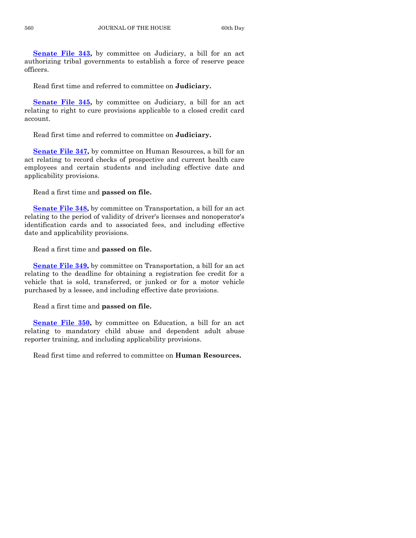**[Senate File 343,](http://coolice.legis.state.ia.us/Cool-ICE/default.asp?Category=billinfo&Service=Billbook&frame=1&GA=85&hbill=SF343)** by committee on Judiciary, a bill for an act authorizing tribal governments to establish a force of reserve peace officers.

Read first time and referred to committee on **Judiciary.**

**[Senate File 345,](http://coolice.legis.state.ia.us/Cool-ICE/default.asp?Category=billinfo&Service=Billbook&frame=1&GA=85&hbill=SF345)** by committee on Judiciary, a bill for an act relating to right to cure provisions applicable to a closed credit card account.

Read first time and referred to committee on **Judiciary.**

**[Senate File 347,](http://coolice.legis.state.ia.us/Cool-ICE/default.asp?Category=billinfo&Service=Billbook&frame=1&GA=85&hbill=SF347)** by committee on Human Resources, a bill for an act relating to record checks of prospective and current health care employees and certain students and including effective date and applicability provisions.

Read a first time and **passed on file.**

**[Senate File 348,](http://coolice.legis.state.ia.us/Cool-ICE/default.asp?Category=billinfo&Service=Billbook&frame=1&GA=85&hbill=SF348)** by committee on Transportation, a bill for an act relating to the period of validity of driver's licenses and nonoperator's identification cards and to associated fees, and including effective date and applicability provisions.

Read a first time and **passed on file.**

**[Senate File 349,](http://coolice.legis.state.ia.us/Cool-ICE/default.asp?Category=billinfo&Service=Billbook&frame=1&GA=85&hbill=SF349)** by committee on Transportation, a bill for an act relating to the deadline for obtaining a registration fee credit for a vehicle that is sold, transferred, or junked or for a motor vehicle purchased by a lessee, and including effective date provisions.

Read a first time and **passed on file.**

**[Senate File 350,](http://coolice.legis.state.ia.us/Cool-ICE/default.asp?Category=billinfo&Service=Billbook&frame=1&GA=85&hbill=SF350)** by committee on Education, a bill for an act relating to mandatory child abuse and dependent adult abuse reporter training, and including applicability provisions.

Read first time and referred to committee on **Human Resources.**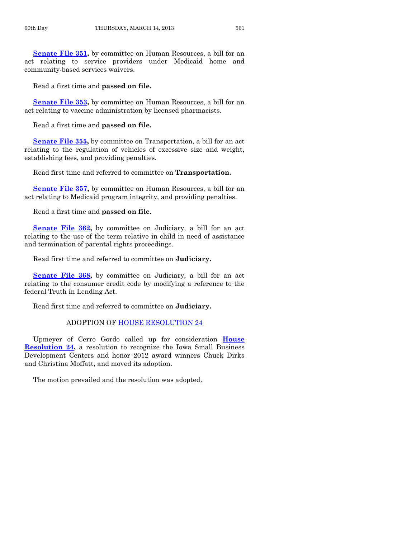**[Senate File 351,](http://coolice.legis.state.ia.us/Cool-ICE/default.asp?Category=billinfo&Service=Billbook&frame=1&GA=85&hbill=SF351)** by committee on Human Resources, a bill for an act relating to service providers under Medicaid home and community-based services waivers.

Read a first time and **passed on file.**

**[Senate File 353,](http://coolice.legis.state.ia.us/Cool-ICE/default.asp?Category=billinfo&Service=Billbook&frame=1&GA=85&hbill=SF353)** by committee on Human Resources, a bill for an act relating to vaccine administration by licensed pharmacists.

Read a first time and **passed on file.**

**[Senate File 355,](http://coolice.legis.state.ia.us/Cool-ICE/default.asp?Category=billinfo&Service=Billbook&frame=1&GA=85&hbill=SF355)** by committee on Transportation, a bill for an act relating to the regulation of vehicles of excessive size and weight, establishing fees, and providing penalties.

Read first time and referred to committee on **Transportation.**

**[Senate File 357,](http://coolice.legis.state.ia.us/Cool-ICE/default.asp?Category=billinfo&Service=Billbook&frame=1&GA=85&hbill=SF357)** by committee on Human Resources, a bill for an act relating to Medicaid program integrity, and providing penalties.

Read a first time and **passed on file.**

**[Senate File 362,](http://coolice.legis.state.ia.us/Cool-ICE/default.asp?Category=billinfo&Service=Billbook&frame=1&GA=85&hbill=SF362)** by committee on Judiciary, a bill for an act relating to the use of the term relative in child in need of assistance and termination of parental rights proceedings.

Read first time and referred to committee on **Judiciary.**

**[Senate File 368,](http://coolice.legis.state.ia.us/Cool-ICE/default.asp?Category=billinfo&Service=Billbook&frame=1&GA=85&hbill=SF368)** by committee on Judiciary, a bill for an act relating to the consumer credit code by modifying a reference to the federal Truth in Lending Act.

Read first time and referred to committee on **Judiciary.**

#### ADOPTION OF [HOUSE RESOLUTION 24](http://coolice.legis.state.ia.us/Cool-ICE/default.asp?Category=billinfo&Service=Billbook&frame=1&GA=85&hbill=HR24)

Upmeyer of Cerro Gordo called up for consideration **[House](http://coolice.legis.state.ia.us/Cool-ICE/default.asp?Category=billinfo&Service=Billbook&frame=1&GA=85&hbill=HR24)  [Resolution 24,](http://coolice.legis.state.ia.us/Cool-ICE/default.asp?Category=billinfo&Service=Billbook&frame=1&GA=85&hbill=HR24)** a resolution to recognize the Iowa Small Business Development Centers and honor 2012 award winners Chuck Dirks and Christina Moffatt, and moved its adoption.

The motion prevailed and the resolution was adopted.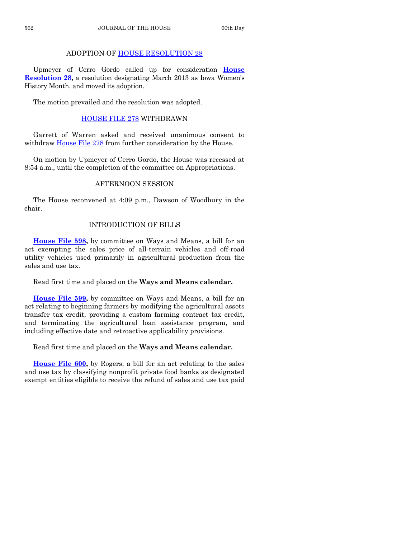#### ADOPTION OF [HOUSE RESOLUTION 28](http://coolice.legis.state.ia.us/Cool-ICE/default.asp?Category=billinfo&Service=Billbook&frame=1&GA=85&hbill=HR28)

Upmeyer of Cerro Gordo called up for consideration **[House](http://coolice.legis.state.ia.us/Cool-ICE/default.asp?Category=billinfo&Service=Billbook&frame=1&GA=85&hbill=HR28)  [Resolution 28,](http://coolice.legis.state.ia.us/Cool-ICE/default.asp?Category=billinfo&Service=Billbook&frame=1&GA=85&hbill=HR28)** a resolution designating March 2013 as Iowa Women's History Month, and moved its adoption.

The motion prevailed and the resolution was adopted.

#### [HOUSE FILE 278](http://coolice.legis.state.ia.us/Cool-ICE/default.asp?Category=billinfo&Service=Billbook&frame=1&GA=85&hbill=HF278) WITHDRAWN

Garrett of Warren asked and received unanimous consent to withdraw [House File 278](http://coolice.legis.state.ia.us/Cool-ICE/default.asp?Category=billinfo&Service=Billbook&frame=1&GA=85&hbill=HF278) from further consideration by the House.

On motion by Upmeyer of Cerro Gordo, the House was recessed at 8:54 a.m., until the completion of the committee on Appropriations.

#### AFTERNOON SESSION

The House reconvened at 4:09 p.m., Dawson of Woodbury in the chair.

#### INTRODUCTION OF BILLS

**[House File 598,](http://coolice.legis.state.ia.us/Cool-ICE/default.asp?Category=billinfo&Service=Billbook&frame=1&GA=85&hbill=HF598)** by committee on Ways and Means, a bill for an act exempting the sales price of all-terrain vehicles and off-road utility vehicles used primarily in agricultural production from the sales and use tax.

Read first time and placed on the **Ways and Means calendar.**

**[House File 599,](http://coolice.legis.state.ia.us/Cool-ICE/default.asp?Category=billinfo&Service=Billbook&frame=1&GA=85&hbill=HF599)** by committee on Ways and Means, a bill for an act relating to beginning farmers by modifying the agricultural assets transfer tax credit, providing a custom farming contract tax credit, and terminating the agricultural loan assistance program, and including effective date and retroactive applicability provisions.

Read first time and placed on the **Ways and Means calendar.**

**[House File 600,](http://coolice.legis.state.ia.us/Cool-ICE/default.asp?Category=billinfo&Service=Billbook&frame=1&GA=85&hbill=HF600)** by Rogers, a bill for an act relating to the sales and use tax by classifying nonprofit private food banks as designated exempt entities eligible to receive the refund of sales and use tax paid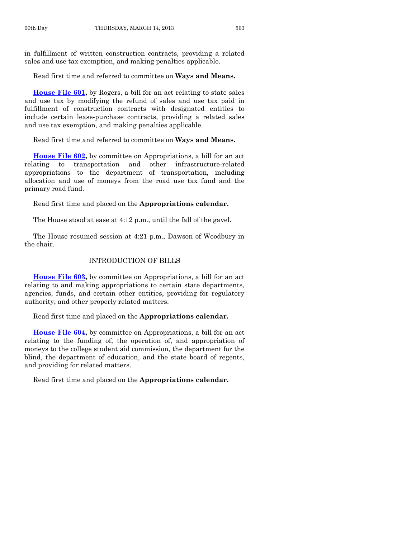in fulfillment of written construction contracts, providing a related sales and use tax exemption, and making penalties applicable.

Read first time and referred to committee on **Ways and Means.**

**[House File 601,](http://coolice.legis.state.ia.us/Cool-ICE/default.asp?Category=billinfo&Service=Billbook&frame=1&GA=85&hbill=HF601)** by Rogers, a bill for an act relating to state sales and use tax by modifying the refund of sales and use tax paid in fulfillment of construction contracts with designated entities to include certain lease-purchase contracts, providing a related sales and use tax exemption, and making penalties applicable.

Read first time and referred to committee on **Ways and Means.**

**[House File 602,](http://coolice.legis.state.ia.us/Cool-ICE/default.asp?Category=billinfo&Service=Billbook&frame=1&GA=85&hbill=HF602)** by committee on Appropriations, a bill for an act relating to transportation and other infrastructure-related appropriations to the department of transportation, including allocation and use of moneys from the road use tax fund and the primary road fund.

Read first time and placed on the **Appropriations calendar.**

The House stood at ease at 4:12 p.m., until the fall of the gavel.

The House resumed session at 4:21 p.m., Dawson of Woodbury in the chair.

#### INTRODUCTION OF BILLS

**[House File 603,](http://coolice.legis.state.ia.us/Cool-ICE/default.asp?Category=billinfo&Service=Billbook&frame=1&GA=85&hbill=HF603)** by committee on Appropriations, a bill for an act relating to and making appropriations to certain state departments, agencies, funds, and certain other entities, providing for regulatory authority, and other properly related matters.

Read first time and placed on the **Appropriations calendar.**

**[House File 604,](http://coolice.legis.state.ia.us/Cool-ICE/default.asp?Category=billinfo&Service=Billbook&frame=1&GA=85&hbill=HF604)** by committee on Appropriations, a bill for an act relating to the funding of, the operation of, and appropriation of moneys to the college student aid commission, the department for the blind, the department of education, and the state board of regents, and providing for related matters.

Read first time and placed on the **Appropriations calendar.**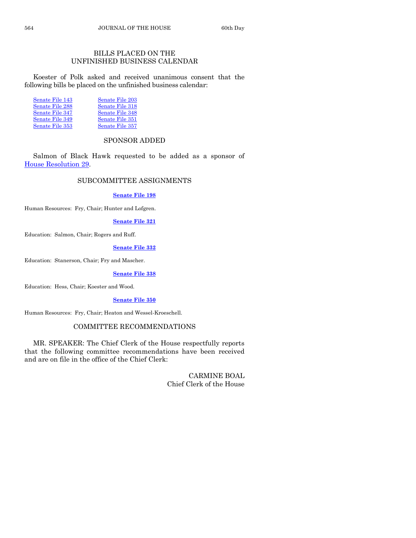#### BILLS PLACED ON THE UNFINISHED BUSINESS CALENDAR

Koester of Polk asked and received unanimous consent that the following bills be placed on the unfinished business calendar:

| Senate File 203 |
|-----------------|
| Senate File 318 |
| Senate File 348 |
| Senate File 351 |
| Senate File 357 |
|                 |

#### SPONSOR ADDED

Salmon of Black Hawk requested to be added as a sponsor of [House Resolution 29.](http://coolice.legis.state.ia.us/Cool-ICE/default.asp?Category=billinfo&Service=Billbook&frame=1&GA=85&hbill=HR29)

#### SUBCOMMITTEE ASSIGNMENTS

#### **[Senate File 198](http://coolice.legis.state.ia.us/Cool-ICE/default.asp?Category=billinfo&Service=Billbook&frame=1&GA=85&hbill=SF198)**

Human Resources: Fry, Chair; Hunter and Lofgren.

#### **[Senate File 321](http://coolice.legis.state.ia.us/Cool-ICE/default.asp?Category=billinfo&Service=Billbook&frame=1&GA=85&hbill=SF321)**

Education: Salmon, Chair; Rogers and Ruff.

#### **[Senate File 332](http://coolice.legis.state.ia.us/Cool-ICE/default.asp?Category=billinfo&Service=Billbook&frame=1&GA=85&hbill=SF332)**

Education: Stanerson, Chair; Fry and Mascher.

#### **[Senate File 338](http://coolice.legis.state.ia.us/Cool-ICE/default.asp?Category=billinfo&Service=Billbook&frame=1&GA=85&hbill=SF338)**

Education: Hess, Chair; Koester and Wood.

#### **[Senate File 350](http://coolice.legis.state.ia.us/Cool-ICE/default.asp?Category=billinfo&Service=Billbook&frame=1&GA=85&hbill=SF350)**

Human Resources: Fry, Chair; Heaton and Wessel-Kroeschell.

#### COMMITTEE RECOMMENDATIONS

MR. SPEAKER: The Chief Clerk of the House respectfully reports that the following committee recommendations have been received and are on file in the office of the Chief Clerk:

> CARMINE BOAL Chief Clerk of the House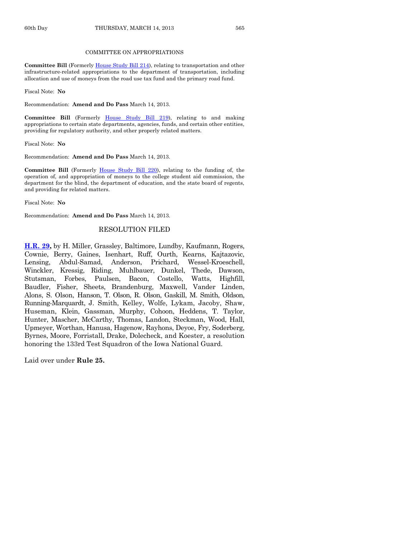#### COMMITTEE ON APPROPRIATIONS

**Committee Bill** (Formerl[y House Study Bill 214\)](http://coolice.legis.state.ia.us/Cool-ICE/default.asp?Category=billinfo&Service=Billbook&frame=1&GA=85&hbill=HSB214), relating to transportation and other infrastructure-related appropriations to the department of transportation, including allocation and use of moneys from the road use tax fund and the primary road fund.

Fiscal Note: **No**

Recommendation: **Amend and Do Pass** March 14, 2013.

**Committee Bill** (Formerly [House Study Bill 219\)](http://coolice.legis.state.ia.us/Cool-ICE/default.asp?Category=billinfo&Service=Billbook&frame=1&GA=85&hbill=HSB219), relating to and making appropriations to certain state departments, agencies, funds, and certain other entities, providing for regulatory authority, and other properly related matters.

Fiscal Note: **No**

Recommendation: **Amend and Do Pass** March 14, 2013.

**Committee Bill** (Formerly [House Study Bill 220\)](http://coolice.legis.state.ia.us/Cool-ICE/default.asp?Category=billinfo&Service=Billbook&frame=1&GA=85&hbill=HSB220), relating to the funding of, the operation of, and appropriation of moneys to the college student aid commission, the department for the blind, the department of education, and the state board of regents, and providing for related matters.

Fiscal Note: **No**

Recommendation: **Amend and Do Pass** March 14, 2013.

#### RESOLUTION FILED

**[H.R. 29,](http://coolice.legis.state.ia.us/Cool-ICE/default.asp?Category=billinfo&Service=Billbook&frame=1&GA=85&hbill=HR29)** by H. Miller, Grassley, Baltimore, Lundby, Kaufmann, Rogers, Cownie, Berry, Gaines, Isenhart, Ruff, Ourth, Kearns, Kajtazovic, Lensing, Abdul-Samad, Anderson, Prichard, Wessel-Kroeschell, Winckler, Kressig, Riding, Muhlbauer, Dunkel, Thede, Dawson, Stutsman, Forbes, Paulsen, Bacon, Costello, Watts, Highfill, Baudler, Fisher, Sheets, Brandenburg, Maxwell, Vander Linden, Alons, S. Olson, Hanson, T. Olson, R. Olson, Gaskill, M. Smith, Oldson, Running-Marquardt, J. Smith, Kelley, Wolfe, Lykam, Jacoby, Shaw, Huseman, Klein, Gassman, Murphy, Cohoon, Heddens, T. Taylor, Hunter, Mascher, McCarthy, Thomas, Landon, Steckman, Wood, Hall, Upmeyer, Worthan, Hanusa, Hagenow, Rayhons, Deyoe, Fry, Soderberg, Byrnes, Moore, Forristall, Drake, Dolecheck, and Koester, a resolution honoring the 133rd Test Squadron of the Iowa National Guard.

Laid over under **Rule 25.**